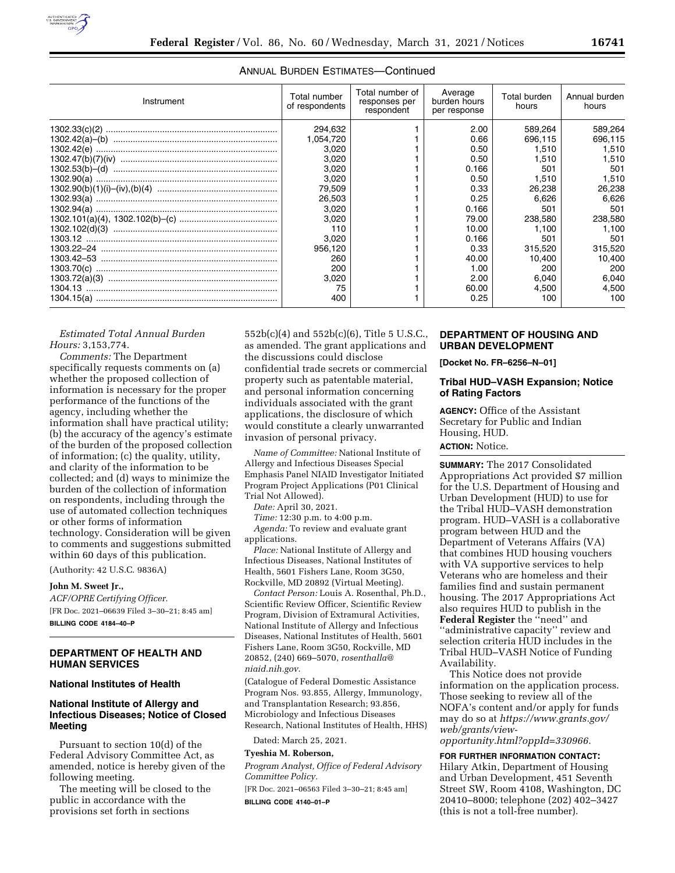

| Instrument | Total number<br>of respondents | Total number of<br>responses per<br>respondent | Average<br>burden hours<br>per response | Total burden<br>hours | Annual burden<br>hours |
|------------|--------------------------------|------------------------------------------------|-----------------------------------------|-----------------------|------------------------|
|            | 294,632                        |                                                | 2.00                                    | 589.264               | 589.264                |
|            | 1,054,720                      |                                                | 0.66                                    | 696.115               | 696.115                |
|            | 3.020                          |                                                | 0.50                                    | 1.510                 | 1.510                  |
|            | 3.020                          |                                                | 0.50                                    | 1.510                 | 1.510                  |
|            | 3,020                          |                                                | 0.166                                   | 501                   | 501                    |
|            | 3.020                          |                                                | 0.50                                    | 1.510                 | 1.510                  |
|            | 79.509                         |                                                | 0.33                                    | 26.238                | 26,238                 |
|            | 26,503                         |                                                | 0.25                                    | 6.626                 | 6.626                  |
|            | 3.020                          |                                                | 0.166                                   | 501                   | 501                    |
|            | 3,020                          |                                                | 79.00                                   | 238,580               | 238,580                |
|            | 110                            |                                                | 10.00                                   | 1.100                 | 1.100                  |
|            | 3.020                          |                                                | 0.166                                   | 501                   | 501                    |
|            | 956.120                        |                                                | 0.33                                    | 315,520               | 315,520                |
|            | 260                            |                                                | 40.00                                   | 10.400                | 10.400                 |
|            | 200                            |                                                | 1.00                                    | 200                   | 200                    |
|            | 3,020                          |                                                | 2.00                                    | 6.040                 | 6.040                  |
|            | 75                             |                                                | 60.00                                   | 4.500                 | 4.500                  |
|            | 400                            |                                                | 0.25                                    | 100                   | 100                    |

# ANNUAL BURDEN ESTIMATES—Continued

*Estimated Total Annual Burden Hours:* 3,153,774.

*Comments:* The Department specifically requests comments on (a) whether the proposed collection of information is necessary for the proper performance of the functions of the agency, including whether the information shall have practical utility; (b) the accuracy of the agency's estimate of the burden of the proposed collection of information; (c) the quality, utility, and clarity of the information to be collected; and (d) ways to minimize the burden of the collection of information on respondents, including through the use of automated collection techniques or other forms of information technology. Consideration will be given to comments and suggestions submitted within 60 days of this publication.

(Authority: 42 U.S.C. 9836A)

#### **John M. Sweet Jr.,**

*ACF/OPRE Certifying Officer.*  [FR Doc. 2021–06639 Filed 3–30–21; 8:45 am] **BILLING CODE 4184–40–P** 

# **DEPARTMENT OF HEALTH AND HUMAN SERVICES**

# **National Institutes of Health**

# **National Institute of Allergy and Infectious Diseases; Notice of Closed Meeting**

Pursuant to section 10(d) of the Federal Advisory Committee Act, as amended, notice is hereby given of the following meeting.

The meeting will be closed to the public in accordance with the provisions set forth in sections

552b(c)(4) and 552b(c)(6), Title 5 U.S.C., as amended. The grant applications and the discussions could disclose confidential trade secrets or commercial property such as patentable material, and personal information concerning individuals associated with the grant applications, the disclosure of which would constitute a clearly unwarranted invasion of personal privacy.

*Name of Committee:* National Institute of Allergy and Infectious Diseases Special Emphasis Panel NIAID Investigator Initiated Program Project Applications (P01 Clinical Trial Not Allowed).

*Date:* April 30, 2021.

*Time:* 12:30 p.m. to 4:00 p.m.

*Agenda:* To review and evaluate grant applications.

*Place:* National Institute of Allergy and Infectious Diseases, National Institutes of Health, 5601 Fishers Lane, Room 3G50, Rockville, MD 20892 (Virtual Meeting).

*Contact Person:* Louis A. Rosenthal, Ph.D., Scientific Review Officer, Scientific Review Program, Division of Extramural Activities, National Institute of Allergy and Infectious Diseases, National Institutes of Health, 5601 Fishers Lane, Room 3G50, Rockville, MD 20852, (240) 669–5070, *[rosenthalla@](mailto:rosenthalla@niaid.nih.gov) [niaid.nih.gov](mailto:rosenthalla@niaid.nih.gov)*.

(Catalogue of Federal Domestic Assistance Program Nos. 93.855, Allergy, Immunology, and Transplantation Research; 93.856, Microbiology and Infectious Diseases Research, National Institutes of Health, HHS)

Dated: March 25, 2021.

#### **Tyeshia M. Roberson,**

*Program Analyst, Office of Federal Advisory Committee Policy.* 

[FR Doc. 2021–06563 Filed 3–30–21; 8:45 am]

**BILLING CODE 4140–01–P** 

# **DEPARTMENT OF HOUSING AND URBAN DEVELOPMENT**

**[Docket No. FR–6256–N–01]** 

# **Tribal HUD–VASH Expansion; Notice of Rating Factors**

**AGENCY:** Office of the Assistant Secretary for Public and Indian Housing, HUD.

# **ACTION:** Notice.

**SUMMARY:** The 2017 Consolidated Appropriations Act provided \$7 million for the U.S. Department of Housing and Urban Development (HUD) to use for the Tribal HUD–VASH demonstration program. HUD–VASH is a collaborative program between HUD and the Department of Veterans Affairs (VA) that combines HUD housing vouchers with VA supportive services to help Veterans who are homeless and their families find and sustain permanent housing. The 2017 Appropriations Act also requires HUD to publish in the **Federal Register** the ''need'' and ''administrative capacity'' review and selection criteria HUD includes in the Tribal HUD–VASH Notice of Funding Availability.

This Notice does not provide information on the application process. Those seeking to review all of the NOFA's content and/or apply for funds may do so at *[https://www.grants.gov/](https://www.grants.gov/web/grants/view-opportunity.html?oppId=330966)  [web/grants/view-](https://www.grants.gov/web/grants/view-opportunity.html?oppId=330966)*

*[opportunity.html?oppId=330966.](https://www.grants.gov/web/grants/view-opportunity.html?oppId=330966)* 

# **FOR FURTHER INFORMATION CONTACT:**

Hilary Atkin, Department of Housing and Urban Development, 451 Seventh Street SW, Room 4108, Washington, DC 20410–8000; telephone (202) 402–3427 (this is not a toll-free number).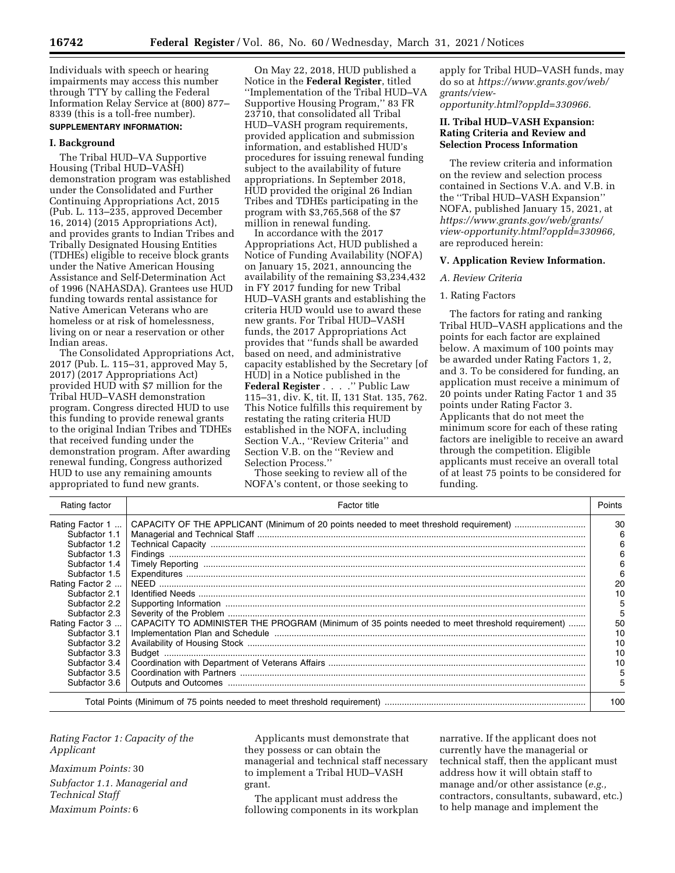Individuals with speech or hearing impairments may access this number through TTY by calling the Federal Information Relay Service at (800) 877– 8339 (this is a toll-free number). **SUPPLEMENTARY INFORMATION:** 

# **I. Background**

The Tribal HUD–VA Supportive Housing (Tribal HUD–VASH) demonstration program was established under the Consolidated and Further Continuing Appropriations Act, 2015 (Pub. L. 113–235, approved December 16, 2014) (2015 Appropriations Act), and provides grants to Indian Tribes and Tribally Designated Housing Entities (TDHEs) eligible to receive block grants under the Native American Housing Assistance and Self-Determination Act of 1996 (NAHASDA). Grantees use HUD funding towards rental assistance for Native American Veterans who are homeless or at risk of homelessness, living on or near a reservation or other Indian areas.

The Consolidated Appropriations Act, 2017 (Pub. L. 115–31, approved May 5, 2017) (2017 Appropriations Act) provided HUD with \$7 million for the Tribal HUD–VASH demonstration program. Congress directed HUD to use this funding to provide renewal grants to the original Indian Tribes and TDHEs that received funding under the demonstration program. After awarding renewal funding, Congress authorized HUD to use any remaining amounts appropriated to fund new grants.

On May 22, 2018, HUD published a Notice in the **Federal Register**, titled ''Implementation of the Tribal HUD–VA Supportive Housing Program,'' 83 FR 23710, that consolidated all Tribal HUD–VASH program requirements, provided application and submission information, and established HUD's procedures for issuing renewal funding subject to the availability of future appropriations. In September 2018, HUD provided the original 26 Indian Tribes and TDHEs participating in the program with \$3,765,568 of the \$7 million in renewal funding.

In accordance with the 2017 Appropriations Act, HUD published a Notice of Funding Availability (NOFA) on January 15, 2021, announcing the availability of the remaining \$3,234,432 in FY 2017 funding for new Tribal HUD–VASH grants and establishing the criteria HUD would use to award these new grants. For Tribal HUD–VASH funds, the 2017 Appropriations Act provides that ''funds shall be awarded based on need, and administrative capacity established by the Secretary [of HUD] in a Notice published in the **Federal Register** . . . .'' Public Law 115–31, div. K, tit. II, 131 Stat. 135, 762. This Notice fulfills this requirement by restating the rating criteria HUD established in the NOFA, including Section V.A., ''Review Criteria'' and Section V.B. on the ''Review and Selection Process.''

Those seeking to review all of the NOFA's content, or those seeking to apply for Tribal HUD–VASH funds, may do so at *[https://www.grants.gov/web/](https://www.grants.gov/web/grants/view-opportunity.html?oppId=330966) [grants/view-](https://www.grants.gov/web/grants/view-opportunity.html?oppId=330966)*

*[opportunity.html?oppId=330966.](https://www.grants.gov/web/grants/view-opportunity.html?oppId=330966)* 

# **II. Tribal HUD–VASH Expansion: Rating Criteria and Review and Selection Process Information**

The review criteria and information on the review and selection process contained in Sections V.A. and V.B. in the ''Tribal HUD–VASH Expansion'' NOFA, published January 15, 2021, at *[https://www.grants.gov/web/grants/](https://www.grants.gov/web/grants/view-opportunity.html?oppId=330966) [view-opportunity.html?oppId=330966,](https://www.grants.gov/web/grants/view-opportunity.html?oppId=330966)*  are reproduced herein:

## **V. Application Review Information.**

#### *A. Review Criteria*

## 1. Rating Factors

The factors for rating and ranking Tribal HUD–VASH applications and the points for each factor are explained below. A maximum of 100 points may be awarded under Rating Factors 1, 2, and 3. To be considered for funding, an application must receive a minimum of 20 points under Rating Factor 1 and 35 points under Rating Factor 3. Applicants that do not meet the minimum score for each of these rating factors are ineligible to receive an award through the competition. Eligible applicants must receive an overall total of at least 75 points to be considered for funding.

| Rating factor   | Factor title                                                                                   | Points |
|-----------------|------------------------------------------------------------------------------------------------|--------|
| Rating Factor 1 |                                                                                                | 30     |
| Subfactor 1.1   |                                                                                                | 6      |
| Subfactor 1.2   |                                                                                                | 6      |
| Subfactor 1.3   |                                                                                                | 6      |
| Subfactor 1.4   |                                                                                                | 6      |
| Subfactor 1.5   |                                                                                                | 6      |
| Rating Factor 2 |                                                                                                | 20     |
| Subfactor 2.1   |                                                                                                | 10     |
| Subfactor 2.2   |                                                                                                | 5      |
| Subfactor 2.3   |                                                                                                | 5      |
| Rating Factor 3 | CAPACITY TO ADMINISTER THE PROGRAM (Minimum of 35 points needed to meet threshold requirement) | 50     |
| Subfactor 3.1   |                                                                                                | 10     |
| Subfactor 3.2   |                                                                                                | 10     |
| Subfactor 3.3   |                                                                                                | 10     |
| Subfactor 3.4   |                                                                                                | 10     |
| Subfactor 3.5   |                                                                                                | 5      |
| Subfactor 3.6   |                                                                                                | 5      |
|                 |                                                                                                | 100    |

*Rating Factor 1: Capacity of the Applicant* 

*Maximum Points:* 30

*Subfactor 1.1. Managerial and Technical Staff Maximum Points:* 6

Applicants must demonstrate that they possess or can obtain the managerial and technical staff necessary to implement a Tribal HUD–VASH grant.

The applicant must address the following components in its workplan

narrative. If the applicant does not currently have the managerial or technical staff, then the applicant must address how it will obtain staff to manage and/or other assistance (*e.g.,*  contractors, consultants, subaward, etc.) to help manage and implement the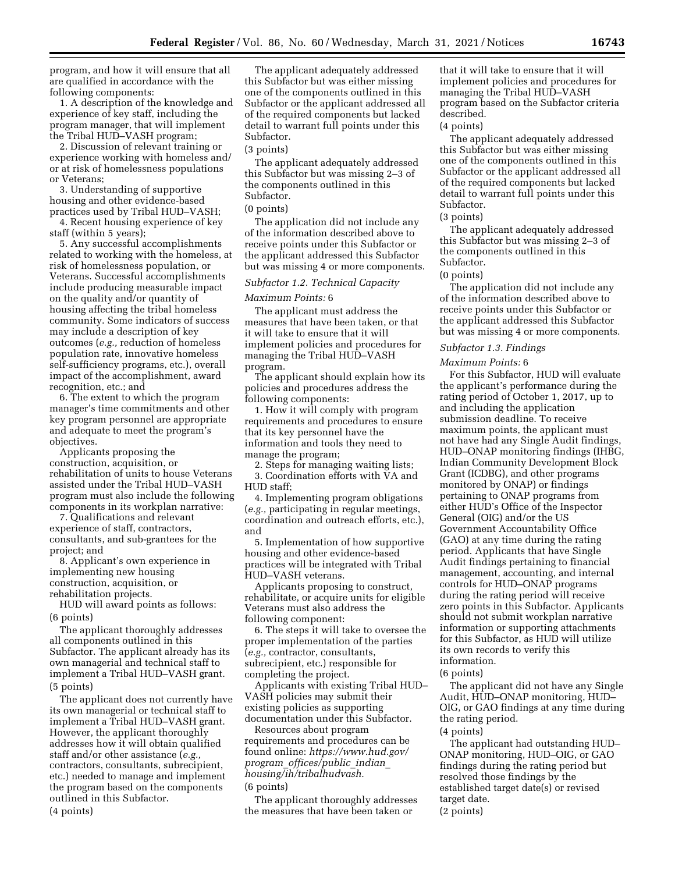program, and how it will ensure that all are qualified in accordance with the following components:

1. A description of the knowledge and experience of key staff, including the program manager, that will implement the Tribal HUD–VASH program;

2. Discussion of relevant training or experience working with homeless and/ or at risk of homelessness populations or Veterans;

3. Understanding of supportive housing and other evidence-based practices used by Tribal HUD–VASH;

4. Recent housing experience of key staff (within 5 years);

5. Any successful accomplishments related to working with the homeless, at risk of homelessness population, or Veterans. Successful accomplishments include producing measurable impact on the quality and/or quantity of housing affecting the tribal homeless community. Some indicators of success may include a description of key outcomes (*e.g.,* reduction of homeless population rate, innovative homeless self-sufficiency programs, etc.), overall impact of the accomplishment, award recognition, etc.; and

6. The extent to which the program manager's time commitments and other key program personnel are appropriate and adequate to meet the program's objectives.

Applicants proposing the construction, acquisition, or rehabilitation of units to house Veterans assisted under the Tribal HUD–VASH program must also include the following components in its workplan narrative:

7. Qualifications and relevant experience of staff, contractors, consultants, and sub-grantees for the project; and

8. Applicant's own experience in implementing new housing construction, acquisition, or rehabilitation projects.

HUD will award points as follows: (6 points)

The applicant thoroughly addresses all components outlined in this Subfactor. The applicant already has its own managerial and technical staff to implement a Tribal HUD–VASH grant. (5 points)

The applicant does not currently have its own managerial or technical staff to implement a Tribal HUD–VASH grant. However, the applicant thoroughly addresses how it will obtain qualified staff and/or other assistance (*e.g.,*  contractors, consultants, subrecipient, etc.) needed to manage and implement the program based on the components outlined in this Subfactor. (4 points)

The applicant adequately addressed this Subfactor but was either missing one of the components outlined in this Subfactor or the applicant addressed all of the required components but lacked detail to warrant full points under this Subfactor.

#### (3 points)

The applicant adequately addressed this Subfactor but was missing 2–3 of the components outlined in this Subfactor.

#### (0 points)

The application did not include any of the information described above to receive points under this Subfactor or the applicant addressed this Subfactor but was missing 4 or more components.

# *Subfactor 1.2. Technical Capacity*

#### *Maximum Points:* 6

The applicant must address the measures that have been taken, or that it will take to ensure that it will implement policies and procedures for managing the Tribal HUD–VASH program.

The applicant should explain how its policies and procedures address the following components:

1. How it will comply with program requirements and procedures to ensure that its key personnel have the information and tools they need to manage the program;

2. Steps for managing waiting lists; 3. Coordination efforts with VA and HUD staff;

4. Implementing program obligations (*e.g.,* participating in regular meetings, coordination and outreach efforts, etc.), and

5. Implementation of how supportive housing and other evidence-based practices will be integrated with Tribal HUD–VASH veterans.

Applicants proposing to construct, rehabilitate, or acquire units for eligible Veterans must also address the following component:

6. The steps it will take to oversee the proper implementation of the parties (*e.g.,* contractor, consultants, subrecipient, etc.) responsible for completing the project.

Applicants with existing Tribal HUD– VASH policies may submit their existing policies as supporting documentation under this Subfactor.

Resources about program requirements and procedures can be found online: *[https://www.hud.gov/](https://www.hud.gov/program_offices/public_indian_housing/ih/tribalhudvash)  program*\_*[offices/public](https://www.hud.gov/program_offices/public_indian_housing/ih/tribalhudvash)*\_*indian*\_ *[housing/ih/tribalhudvash.](https://www.hud.gov/program_offices/public_indian_housing/ih/tribalhudvash)* 

# (6 points)

The applicant thoroughly addresses the measures that have been taken or

that it will take to ensure that it will implement policies and procedures for managing the Tribal HUD–VASH program based on the Subfactor criteria described.

#### (4 points)

The applicant adequately addressed this Subfactor but was either missing one of the components outlined in this Subfactor or the applicant addressed all of the required components but lacked detail to warrant full points under this Subfactor.

# (3 points)

The applicant adequately addressed this Subfactor but was missing 2–3 of the components outlined in this Subfactor.

#### (0 points)

The application did not include any of the information described above to receive points under this Subfactor or the applicant addressed this Subfactor but was missing 4 or more components.

#### *Subfactor 1.3. Findings*

*Maximum Points:* 6

For this Subfactor, HUD will evaluate the applicant's performance during the rating period of October 1, 2017, up to and including the application submission deadline. To receive maximum points, the applicant must not have had any Single Audit findings, HUD–ONAP monitoring findings (IHBG, Indian Community Development Block Grant (ICDBG), and other programs monitored by ONAP) or findings pertaining to ONAP programs from either HUD's Office of the Inspector General (OIG) and/or the US Government Accountability Office (GAO) at any time during the rating period. Applicants that have Single Audit findings pertaining to financial management, accounting, and internal controls for HUD–ONAP programs during the rating period will receive zero points in this Subfactor. Applicants should not submit workplan narrative information or supporting attachments for this Subfactor, as HUD will utilize its own records to verify this information.

(6 points)

The applicant did not have any Single Audit, HUD–ONAP monitoring, HUD– OIG, or GAO findings at any time during the rating period.

(4 points)

The applicant had outstanding HUD– ONAP monitoring, HUD–OIG, or GAO findings during the rating period but resolved those findings by the established target date(s) or revised target date. (2 points)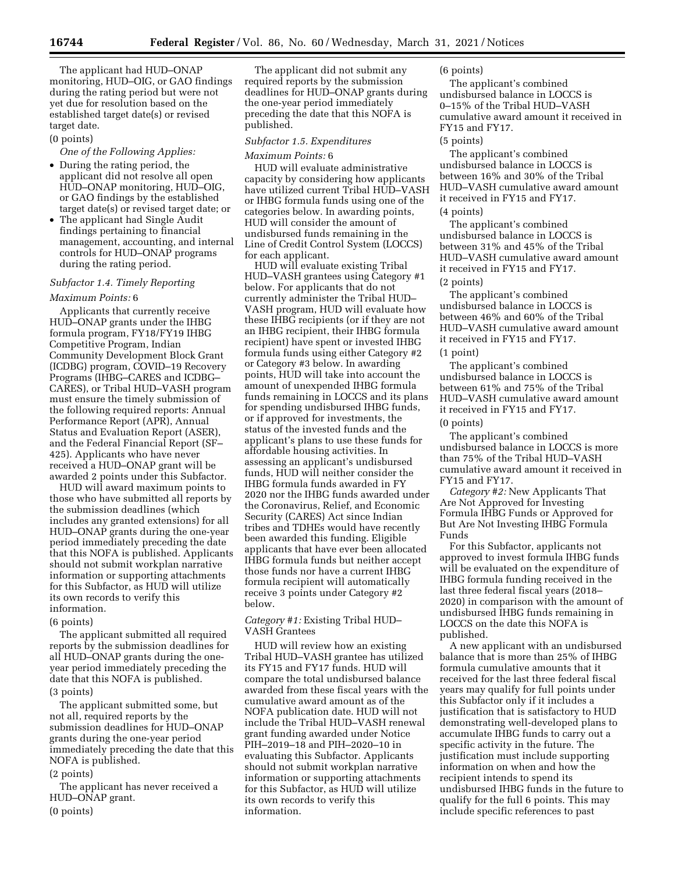The applicant had HUD–ONAP monitoring, HUD–OIG, or GAO findings during the rating period but were not yet due for resolution based on the established target date(s) or revised target date.

# (0 points)

*One of the Following Applies:* 

- During the rating period, the applicant did not resolve all open HUD–ONAP monitoring, HUD–OIG, or GAO findings by the established target date(s) or revised target date; or
- The applicant had Single Audit findings pertaining to financial management, accounting, and internal controls for HUD–ONAP programs during the rating period.

#### *Subfactor 1.4. Timely Reporting*

#### *Maximum Points:* 6

Applicants that currently receive HUD–ONAP grants under the IHBG formula program, FY18/FY19 IHBG Competitive Program, Indian Community Development Block Grant (ICDBG) program, COVID–19 Recovery Programs (IHBG–CARES and ICDBG– CARES), or Tribal HUD–VASH program must ensure the timely submission of the following required reports: Annual Performance Report (APR), Annual Status and Evaluation Report (ASER), and the Federal Financial Report (SF– 425). Applicants who have never received a HUD–ONAP grant will be awarded 2 points under this Subfactor.

HUD will award maximum points to those who have submitted all reports by the submission deadlines (which includes any granted extensions) for all HUD–ONAP grants during the one-year period immediately preceding the date that this NOFA is published. Applicants should not submit workplan narrative information or supporting attachments for this Subfactor, as HUD will utilize its own records to verify this information.

#### (6 points)

The applicant submitted all required reports by the submission deadlines for all HUD–ONAP grants during the oneyear period immediately preceding the date that this NOFA is published. (3 points)

The applicant submitted some, but not all, required reports by the submission deadlines for HUD–ONAP grants during the one-year period immediately preceding the date that this NOFA is published.

#### (2 points)

The applicant has never received a HUD–ONAP grant.

(0 points)

The applicant did not submit any required reports by the submission deadlines for HUD–ONAP grants during the one-year period immediately preceding the date that this NOFA is published.

#### *Subfactor 1.5. Expenditures*

#### *Maximum Points:* 6

HUD will evaluate administrative capacity by considering how applicants have utilized current Tribal HUD–VASH or IHBG formula funds using one of the categories below. In awarding points, HUD will consider the amount of undisbursed funds remaining in the Line of Credit Control System (LOCCS) for each applicant.

HUD will evaluate existing Tribal HUD–VASH grantees using Category #1 below. For applicants that do not currently administer the Tribal HUD– VASH program, HUD will evaluate how these IHBG recipients (or if they are not an IHBG recipient, their IHBG formula recipient) have spent or invested IHBG formula funds using either Category #2 or Category #3 below. In awarding points, HUD will take into account the amount of unexpended IHBG formula funds remaining in LOCCS and its plans for spending undisbursed IHBG funds, or if approved for investments, the status of the invested funds and the applicant's plans to use these funds for affordable housing activities. In assessing an applicant's undisbursed funds, HUD will neither consider the IHBG formula funds awarded in FY 2020 nor the IHBG funds awarded under the Coronavirus, Relief, and Economic Security (CARES) Act since Indian tribes and TDHEs would have recently been awarded this funding. Eligible applicants that have ever been allocated IHBG formula funds but neither accept those funds nor have a current IHBG formula recipient will automatically receive 3 points under Category #2 below.

# *Category #1:* Existing Tribal HUD– VASH Grantees

HUD will review how an existing Tribal HUD–VASH grantee has utilized its FY15 and FY17 funds. HUD will compare the total undisbursed balance awarded from these fiscal years with the cumulative award amount as of the NOFA publication date. HUD will not include the Tribal HUD–VASH renewal grant funding awarded under Notice PIH–2019–18 and PIH–2020–10 in evaluating this Subfactor. Applicants should not submit workplan narrative information or supporting attachments for this Subfactor, as HUD will utilize its own records to verify this information.

# (6 points)

The applicant's combined undisbursed balance in LOCCS is 0–15% of the Tribal HUD–VASH cumulative award amount it received in FY15 and FY17.

#### (5 points)

The applicant's combined undisbursed balance in LOCCS is between 16% and 30% of the Tribal HUD–VASH cumulative award amount it received in FY15 and FY17. (4 points)

The applicant's combined undisbursed balance in LOCCS is between 31% and 45% of the Tribal HUD–VASH cumulative award amount it received in FY15 and FY17. (2 points)

The applicant's combined undisbursed balance in LOCCS is between 46% and 60% of the Tribal HUD–VASH cumulative award amount it received in FY15 and FY17. (1 point)

The applicant's combined undisbursed balance in LOCCS is between 61% and 75% of the Tribal HUD–VASH cumulative award amount it received in FY15 and FY17. (0 points)

The applicant's combined undisbursed balance in LOCCS is more than 75% of the Tribal HUD–VASH cumulative award amount it received in FY15 and FY17.

*Category #2:* New Applicants That Are Not Approved for Investing Formula IHBG Funds or Approved for But Are Not Investing IHBG Formula Funds

For this Subfactor, applicants not approved to invest formula IHBG funds will be evaluated on the expenditure of IHBG formula funding received in the last three federal fiscal years (2018– 2020) in comparison with the amount of undisbursed IHBG funds remaining in LOCCS on the date this NOFA is published.

A new applicant with an undisbursed balance that is more than 25% of IHBG formula cumulative amounts that it received for the last three federal fiscal years may qualify for full points under this Subfactor only if it includes a justification that is satisfactory to HUD demonstrating well-developed plans to accumulate IHBG funds to carry out a specific activity in the future. The justification must include supporting information on when and how the recipient intends to spend its undisbursed IHBG funds in the future to qualify for the full 6 points. This may include specific references to past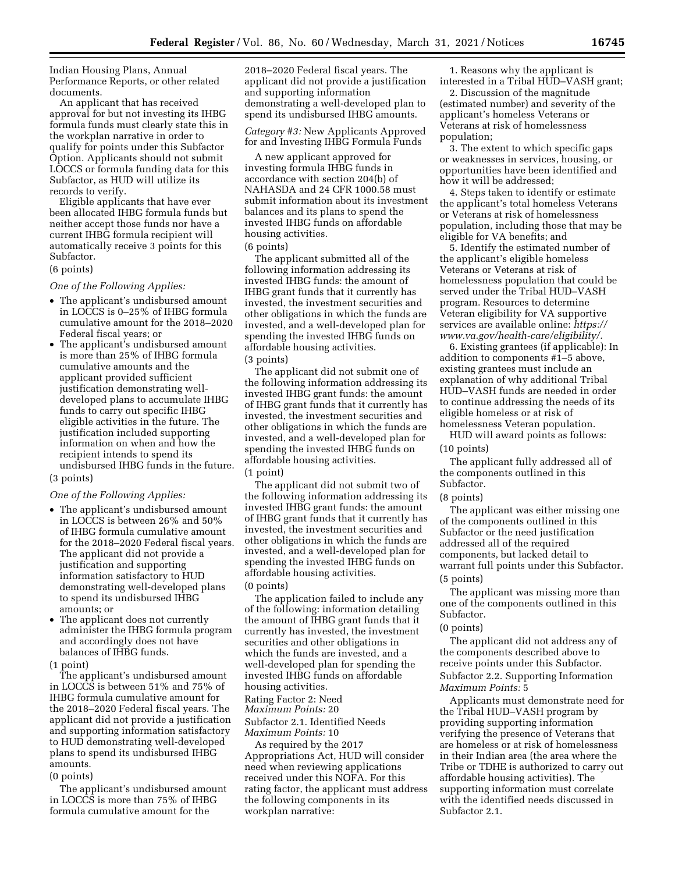Indian Housing Plans, Annual Performance Reports, or other related documents.

An applicant that has received approval for but not investing its IHBG formula funds must clearly state this in the workplan narrative in order to qualify for points under this Subfactor Option. Applicants should not submit LOCCS or formula funding data for this Subfactor, as HUD will utilize its records to verify.

Eligible applicants that have ever been allocated IHBG formula funds but neither accept those funds nor have a current IHBG formula recipient will automatically receive 3 points for this Subfactor.

# (6 points)

*One of the Following Applies:* 

- The applicant's undisbursed amount in LOCCS is 0–25% of IHBG formula cumulative amount for the 2018–2020 Federal fiscal years; or
- The applicant's undisbursed amount is more than 25% of IHBG formula cumulative amounts and the applicant provided sufficient justification demonstrating welldeveloped plans to accumulate IHBG funds to carry out specific IHBG eligible activities in the future. The justification included supporting information on when and how the recipient intends to spend its undisbursed IHBG funds in the future.

# (3 points)

*One of the Following Applies:* 

- The applicant's undisbursed amount in LOCCS is between 26% and 50% of IHBG formula cumulative amount for the 2018–2020 Federal fiscal years. The applicant did not provide a justification and supporting information satisfactory to HUD demonstrating well-developed plans to spend its undisbursed IHBG amounts; or
- The applicant does not currently administer the IHBG formula program and accordingly does not have balances of IHBG funds.
- (1 point)

The applicant's undisbursed amount in LOCCS is between 51% and 75% of IHBG formula cumulative amount for the 2018–2020 Federal fiscal years. The applicant did not provide a justification and supporting information satisfactory to HUD demonstrating well-developed plans to spend its undisbursed IHBG amounts.

#### (0 points)

The applicant's undisbursed amount in LOCCS is more than 75% of IHBG formula cumulative amount for the

2018–2020 Federal fiscal years. The applicant did not provide a justification and supporting information demonstrating a well-developed plan to spend its undisbursed IHBG amounts.

*Category #3:* New Applicants Approved for and Investing IHBG Formula Funds

A new applicant approved for investing formula IHBG funds in accordance with section 204(b) of NAHASDA and 24 CFR 1000.58 must submit information about its investment balances and its plans to spend the invested IHBG funds on affordable housing activities. (6 points)

The applicant submitted all of the following information addressing its invested IHBG funds: the amount of IHBG grant funds that it currently has invested, the investment securities and other obligations in which the funds are invested, and a well-developed plan for spending the invested IHBG funds on affordable housing activities. (3 points)

The applicant did not submit one of the following information addressing its invested IHBG grant funds: the amount of IHBG grant funds that it currently has invested, the investment securities and other obligations in which the funds are invested, and a well-developed plan for spending the invested IHBG funds on affordable housing activities.

(1 point)

The applicant did not submit two of the following information addressing its invested IHBG grant funds: the amount of IHBG grant funds that it currently has invested, the investment securities and other obligations in which the funds are invested, and a well-developed plan for spending the invested IHBG funds on affordable housing activities. (0 points)

The application failed to include any of the following: information detailing the amount of IHBG grant funds that it currently has invested, the investment securities and other obligations in which the funds are invested, and a well-developed plan for spending the invested IHBG funds on affordable housing activities.

Rating Factor 2: Need

*Maximum Points:* 20

Subfactor 2.1. Identified Needs *Maximum Points:* 10

As required by the 2017 Appropriations Act, HUD will consider need when reviewing applications received under this NOFA. For this rating factor, the applicant must address the following components in its workplan narrative:

1. Reasons why the applicant is interested in a Tribal HUD–VASH grant;

2. Discussion of the magnitude (estimated number) and severity of the applicant's homeless Veterans or Veterans at risk of homelessness population;

3. The extent to which specific gaps or weaknesses in services, housing, or opportunities have been identified and how it will be addressed;

4. Steps taken to identify or estimate the applicant's total homeless Veterans or Veterans at risk of homelessness population, including those that may be eligible for VA benefits; and

5. Identify the estimated number of the applicant's eligible homeless Veterans or Veterans at risk of homelessness population that could be served under the Tribal HUD–VASH program. Resources to determine Veteran eligibility for VA supportive services are available online: *[https://](https://www.va.gov/health-care/eligibility/) [www.va.gov/health-care/eligibility/.](https://www.va.gov/health-care/eligibility/)* 

6. Existing grantees (if applicable): In addition to components #1–5 above, existing grantees must include an explanation of why additional Tribal HUD–VASH funds are needed in order to continue addressing the needs of its eligible homeless or at risk of homelessness Veteran population.

HUD will award points as follows:

(10 points) The applicant fully addressed all of

the components outlined in this Subfactor.

(8 points)

The applicant was either missing one of the components outlined in this Subfactor or the need justification addressed all of the required components, but lacked detail to warrant full points under this Subfactor. (5 points)

The applicant was missing more than one of the components outlined in this Subfactor.

#### (0 points)

The applicant did not address any of the components described above to receive points under this Subfactor. Subfactor 2.2. Supporting Information *Maximum Points:* 5

Applicants must demonstrate need for the Tribal HUD–VASH program by providing supporting information verifying the presence of Veterans that are homeless or at risk of homelessness in their Indian area (the area where the Tribe or TDHE is authorized to carry out affordable housing activities). The supporting information must correlate with the identified needs discussed in Subfactor 2.1.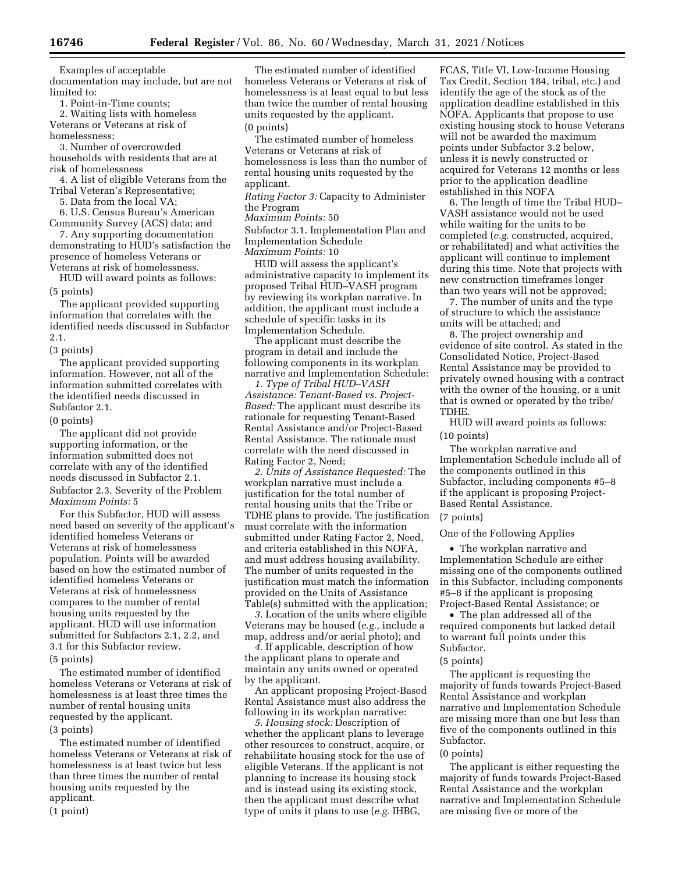Examples of acceptable documentation may include, but are not

limited to:

1. Point-in-Time counts;

2. Waiting lists with homeless Veterans or Veterans at risk of homelessness;

3. Number of overcrowded households with residents that are at risk of homelessness

4. A list of eligible Veterans from the Tribal Veteran's Representative;

5. Data from the local VA;

6. U.S. Census Bureau's American Community Survey (ACS) data; and

7. Any supporting documentation demonstrating to HUD's satisfaction the presence of homeless Veterans or Veterans at risk of homelessness.

HUD will award points as follows: (5 points)

The applicant provided supporting information that correlates with the identified needs discussed in Subfactor 2.1.

(3 points)

The applicant provided supporting information. However, not all of the information submitted correlates with the identified needs discussed in Subfactor 2.1.

(0 points)

The applicant did not provide supporting information, or the information submitted does not correlate with any of the identified needs discussed in Subfactor 2.1. Subfactor 2.3. Severity of the Problem *Maximum Points:* 5

For this Subfactor, HUD will assess need based on severity of the applicant's identified homeless Veterans or Veterans at risk of homelessness population. Points will be awarded based on how the estimated number of identified homeless Veterans or Veterans at risk of homelessness compares to the number of rental housing units requested by the applicant. HUD will use information submitted for Subfactors 2.1, 2.2, and 3.1 for this Subfactor review.

(5 points)

The estimated number of identified homeless Veterans or Veterans at risk of homelessness is at least three times the number of rental housing units requested by the applicant. (3 points)

The estimated number of identified homeless Veterans or Veterans at risk of homelessness is at least twice but less than three times the number of rental housing units requested by the applicant. (1 point)

The estimated number of identified homeless Veterans or Veterans at risk of homelessness is at least equal to but less than twice the number of rental housing units requested by the applicant. (0 points)

The estimated number of homeless Veterans or Veterans at risk of homelessness is less than the number of rental housing units requested by the applicant.

*Rating Factor 3:* Capacity to Administer the Program

*Maximum Points:* 50

Subfactor 3.1. Implementation Plan and Implementation Schedule *Maximum Points:* 10

HUD will assess the applicant's administrative capacity to implement its proposed Tribal HUD–VASH program by reviewing its workplan narrative. In addition, the applicant must include a schedule of specific tasks in its Implementation Schedule.

The applicant must describe the program in detail and include the following components in its workplan narrative and Implementation Schedule:

*1. Type of Tribal HUD–VASH Assistance: Tenant-Based vs. Project-Based:* The applicant must describe its rationale for requesting Tenant-Based Rental Assistance and/or Project-Based Rental Assistance. The rationale must correlate with the need discussed in Rating Factor 2, Need;

*2. Units of Assistance Requested:* The workplan narrative must include a justification for the total number of rental housing units that the Tribe or TDHE plans to provide. The justification must correlate with the information submitted under Rating Factor 2, Need, and criteria established in this NOFA, and must address housing availability. The number of units requested in the justification must match the information provided on the Units of Assistance Table(s) submitted with the application;

*3.* Location of the units where eligible Veterans may be housed (*e.g.,* include a map, address and/or aerial photo); and

*4.* If applicable, description of how the applicant plans to operate and maintain any units owned or operated by the applicant.

An applicant proposing Project-Based Rental Assistance must also address the following in its workplan narrative:

*5. Housing stock:* Description of whether the applicant plans to leverage other resources to construct, acquire, or rehabilitate housing stock for the use of eligible Veterans. If the applicant is not planning to increase its housing stock and is instead using its existing stock, then the applicant must describe what type of units it plans to use (*e.g.* IHBG,

FCAS, Title VI, Low-Income Housing Tax Credit, Section 184, tribal, etc.) and identify the age of the stock as of the application deadline established in this NOFA. Applicants that propose to use existing housing stock to house Veterans will not be awarded the maximum points under Subfactor 3.2 below, unless it is newly constructed or acquired for Veterans 12 months or less prior to the application deadline established in this NOFA

6. The length of time the Tribal HUD– VASH assistance would not be used while waiting for the units to be completed (*e.g.* constructed, acquired, or rehabilitated) and what activities the applicant will continue to implement during this time. Note that projects with new construction timeframes longer than two years will not be approved;

7. The number of units and the type of structure to which the assistance units will be attached; and

8. The project ownership and evidence of site control. As stated in the Consolidated Notice, Project-Based Rental Assistance may be provided to privately owned housing with a contract with the owner of the housing, or a unit that is owned or operated by the tribe/ TDHE.

HUD will award points as follows: (10 points)

The workplan narrative and Implementation Schedule include all of the components outlined in this Subfactor, including components #5–8 if the applicant is proposing Project-Based Rental Assistance.

# (7 points)

# One of the Following Applies

• The workplan narrative and Implementation Schedule are either missing one of the components outlined in this Subfactor, including components #5–8 if the applicant is proposing Project-Based Rental Assistance; or

• The plan addressed all of the required components but lacked detail to warrant full points under this Subfactor.

#### (5 points)

The applicant is requesting the majority of funds towards Project-Based Rental Assistance and workplan narrative and Implementation Schedule are missing more than one but less than five of the components outlined in this Subfactor.

# (0 points)

The applicant is either requesting the majority of funds towards Project-Based Rental Assistance and the workplan narrative and Implementation Schedule are missing five or more of the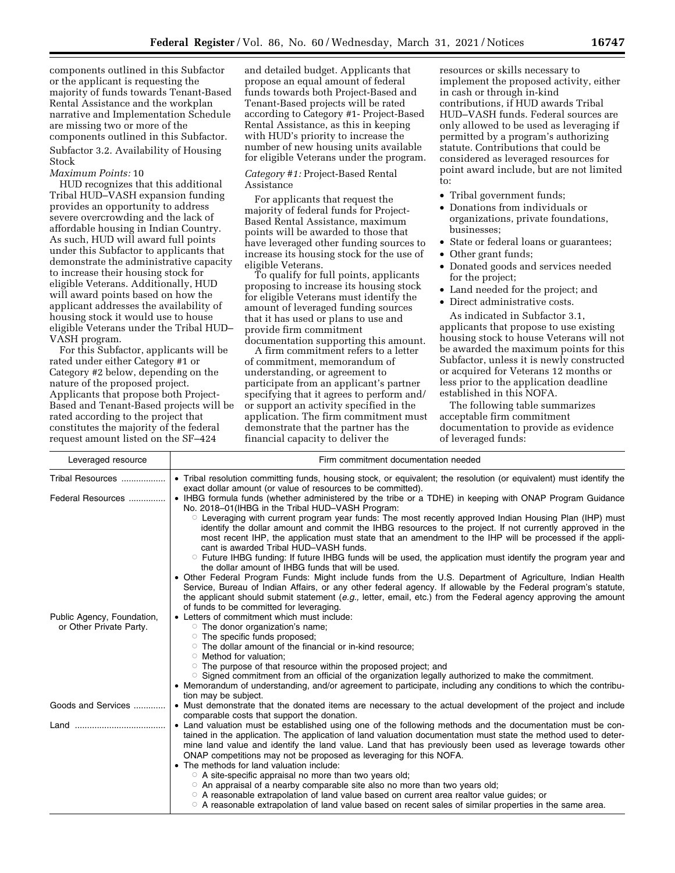components outlined in this Subfactor or the applicant is requesting the majority of funds towards Tenant-Based Rental Assistance and the workplan narrative and Implementation Schedule are missing two or more of the components outlined in this Subfactor. Subfactor 3.2. Availability of Housing Stock

#### *Maximum Points:* 10

HUD recognizes that this additional Tribal HUD–VASH expansion funding provides an opportunity to address severe overcrowding and the lack of affordable housing in Indian Country. As such, HUD will award full points under this Subfactor to applicants that demonstrate the administrative capacity to increase their housing stock for eligible Veterans. Additionally, HUD will award points based on how the applicant addresses the availability of housing stock it would use to house eligible Veterans under the Tribal HUD– VASH program.

For this Subfactor, applicants will be rated under either Category #1 or Category #2 below, depending on the nature of the proposed project. Applicants that propose both Project-Based and Tenant-Based projects will be rated according to the project that constitutes the majority of the federal request amount listed on the SF–424

and detailed budget. Applicants that propose an equal amount of federal funds towards both Project-Based and Tenant-Based projects will be rated according to Category #1- Project-Based Rental Assistance, as this in keeping with HUD's priority to increase the number of new housing units available for eligible Veterans under the program.

# *Category #1:* Project-Based Rental Assistance

For applicants that request the majority of federal funds for Project-Based Rental Assistance, maximum points will be awarded to those that have leveraged other funding sources to increase its housing stock for the use of eligible Veterans.

To qualify for full points, applicants proposing to increase its housing stock for eligible Veterans must identify the amount of leveraged funding sources that it has used or plans to use and provide firm commitment documentation supporting this amount.

A firm commitment refers to a letter of commitment, memorandum of understanding, or agreement to participate from an applicant's partner specifying that it agrees to perform and/ or support an activity specified in the application. The firm commitment must demonstrate that the partner has the financial capacity to deliver the

resources or skills necessary to implement the proposed activity, either in cash or through in-kind contributions, if HUD awards Tribal HUD–VASH funds. Federal sources are only allowed to be used as leveraging if permitted by a program's authorizing statute. Contributions that could be considered as leveraged resources for point award include, but are not limited to:

- Tribal government funds;
- Donations from individuals or organizations, private foundations, businesses;
- State or federal loans or guarantees;
- Other grant funds;
- Donated goods and services needed for the project;
- Land needed for the project; and
- Direct administrative costs.

As indicated in Subfactor 3.1, applicants that propose to use existing housing stock to house Veterans will not be awarded the maximum points for this Subfactor, unless it is newly constructed or acquired for Veterans 12 months or less prior to the application deadline established in this NOFA.

The following table summarizes acceptable firm commitment documentation to provide as evidence of leveraged funds:

| Leveraged resource                                    | Firm commitment documentation needed                                                                                                                                                                                                                                                                                                                                                                                                                          |  |  |
|-------------------------------------------------------|---------------------------------------------------------------------------------------------------------------------------------------------------------------------------------------------------------------------------------------------------------------------------------------------------------------------------------------------------------------------------------------------------------------------------------------------------------------|--|--|
| Tribal Resources                                      | • Tribal resolution committing funds, housing stock, or equivalent; the resolution (or equivalent) must identify the<br>exact dollar amount (or value of resources to be committed).                                                                                                                                                                                                                                                                          |  |  |
| Federal Resources                                     | • IHBG formula funds (whether administered by the tribe or a TDHE) in keeping with ONAP Program Guidance<br>No. 2018-01 (IHBG in the Tribal HUD-VASH Program:                                                                                                                                                                                                                                                                                                 |  |  |
|                                                       | ○ Leveraging with current program year funds: The most recently approved Indian Housing Plan (IHP) must<br>identify the dollar amount and commit the IHBG resources to the project. If not currently approved in the<br>most recent IHP, the application must state that an amendment to the IHP will be processed if the appli-<br>cant is awarded Tribal HUD-VASH funds.                                                                                    |  |  |
|                                                       | $\circ$ Future IHBG funding: If future IHBG funds will be used, the application must identify the program year and<br>the dollar amount of IHBG funds that will be used.                                                                                                                                                                                                                                                                                      |  |  |
|                                                       | • Other Federal Program Funds: Might include funds from the U.S. Department of Agriculture, Indian Health<br>Service, Bureau of Indian Affairs, or any other federal agency. If allowable by the Federal program's statute,<br>the applicant should submit statement (e.g., letter, email, etc.) from the Federal agency approving the amount                                                                                                                 |  |  |
|                                                       | of funds to be committed for leveraging.<br>• Letters of commitment which must include:                                                                                                                                                                                                                                                                                                                                                                       |  |  |
| Public Agency, Foundation,<br>or Other Private Party. | $\circ$ The donor organization's name;                                                                                                                                                                                                                                                                                                                                                                                                                        |  |  |
|                                                       | ○ The specific funds proposed;<br>○ The dollar amount of the financial or in-kind resource;                                                                                                                                                                                                                                                                                                                                                                   |  |  |
|                                                       | ○ Method for valuation;                                                                                                                                                                                                                                                                                                                                                                                                                                       |  |  |
|                                                       | ○ The purpose of that resource within the proposed project; and                                                                                                                                                                                                                                                                                                                                                                                               |  |  |
|                                                       | ○ Signed commitment from an official of the organization legally authorized to make the commitment.<br>• Memorandum of understanding, and/or agreement to participate, including any conditions to which the contribu-                                                                                                                                                                                                                                        |  |  |
|                                                       | tion may be subject.                                                                                                                                                                                                                                                                                                                                                                                                                                          |  |  |
| Goods and Services                                    | • Must demonstrate that the donated items are necessary to the actual development of the project and include<br>comparable costs that support the donation.                                                                                                                                                                                                                                                                                                   |  |  |
|                                                       | • Land valuation must be established using one of the following methods and the documentation must be con-<br>tained in the application. The application of land valuation documentation must state the method used to deter-<br>mine land value and identify the land value. Land that has previously been used as leverage towards other<br>ONAP competitions may not be proposed as leveraging for this NOFA.<br>• The methods for land valuation include: |  |  |
|                                                       | ○ A site-specific appraisal no more than two years old;                                                                                                                                                                                                                                                                                                                                                                                                       |  |  |
|                                                       | $\circ$ An appraisal of a nearby comparable site also no more than two years old;                                                                                                                                                                                                                                                                                                                                                                             |  |  |
|                                                       | $\circ$ A reasonable extrapolation of land value based on current area realtor value quides; or<br>$\circ$ A reasonable extrapolation of land value based on recent sales of similar properties in the same area.                                                                                                                                                                                                                                             |  |  |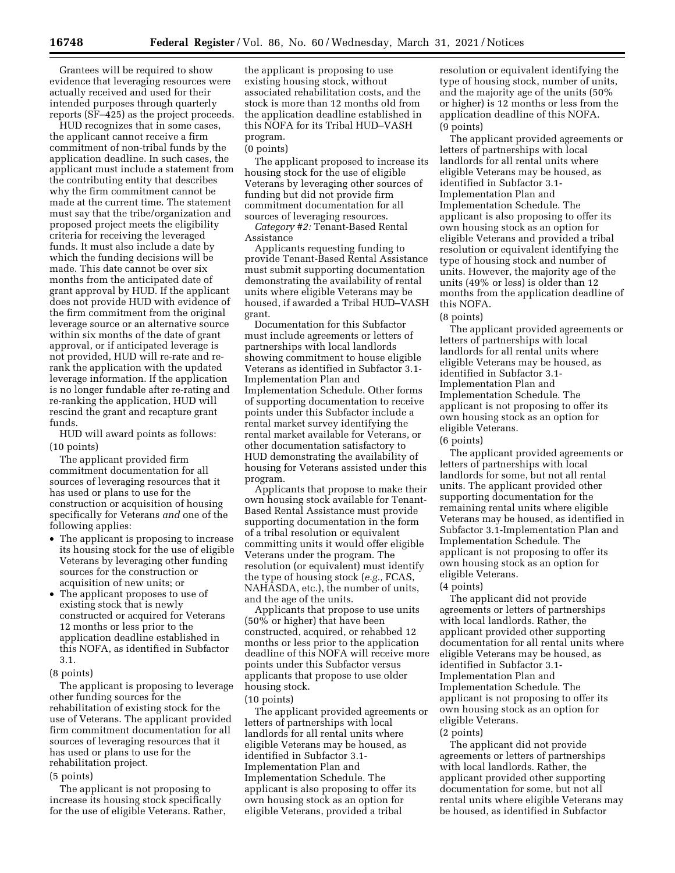Grantees will be required to show evidence that leveraging resources were actually received and used for their intended purposes through quarterly reports (SF–425) as the project proceeds.

HUD recognizes that in some cases, the applicant cannot receive a firm commitment of non-tribal funds by the application deadline. In such cases, the applicant must include a statement from the contributing entity that describes why the firm commitment cannot be made at the current time. The statement must say that the tribe/organization and proposed project meets the eligibility criteria for receiving the leveraged funds. It must also include a date by which the funding decisions will be made. This date cannot be over six months from the anticipated date of grant approval by HUD. If the applicant does not provide HUD with evidence of the firm commitment from the original leverage source or an alternative source within six months of the date of grant approval, or if anticipated leverage is not provided, HUD will re-rate and rerank the application with the updated leverage information. If the application is no longer fundable after re-rating and re-ranking the application, HUD will rescind the grant and recapture grant funds.

HUD will award points as follows: (10 points)

The applicant provided firm commitment documentation for all sources of leveraging resources that it has used or plans to use for the construction or acquisition of housing specifically for Veterans *and* one of the following applies:

- The applicant is proposing to increase its housing stock for the use of eligible Veterans by leveraging other funding sources for the construction or acquisition of new units; or
- The applicant proposes to use of existing stock that is newly constructed or acquired for Veterans 12 months or less prior to the application deadline established in this NOFA, as identified in Subfactor 3.1.
- (8 points)

The applicant is proposing to leverage other funding sources for the rehabilitation of existing stock for the use of Veterans. The applicant provided firm commitment documentation for all sources of leveraging resources that it has used or plans to use for the rehabilitation project.

#### (5 points)

The applicant is not proposing to increase its housing stock specifically for the use of eligible Veterans. Rather,

the applicant is proposing to use existing housing stock, without associated rehabilitation costs, and the stock is more than 12 months old from the application deadline established in this NOFA for its Tribal HUD–VASH program.

#### (0 points)

The applicant proposed to increase its housing stock for the use of eligible Veterans by leveraging other sources of funding but did not provide firm commitment documentation for all sources of leveraging resources.

*Category #2:* Tenant-Based Rental Assistance

Applicants requesting funding to provide Tenant-Based Rental Assistance must submit supporting documentation demonstrating the availability of rental units where eligible Veterans may be housed, if awarded a Tribal HUD–VASH grant.

Documentation for this Subfactor must include agreements or letters of partnerships with local landlords showing commitment to house eligible Veterans as identified in Subfactor 3.1- Implementation Plan and Implementation Schedule. Other forms of supporting documentation to receive points under this Subfactor include a rental market survey identifying the rental market available for Veterans, or other documentation satisfactory to HUD demonstrating the availability of housing for Veterans assisted under this program.

Applicants that propose to make their own housing stock available for Tenant-Based Rental Assistance must provide supporting documentation in the form of a tribal resolution or equivalent committing units it would offer eligible Veterans under the program. The resolution (or equivalent) must identify the type of housing stock (*e.g.,* FCAS, NAHASDA, etc.), the number of units, and the age of the units.

Applicants that propose to use units (50% or higher) that have been constructed, acquired, or rehabbed 12 months or less prior to the application deadline of this NOFA will receive more points under this Subfactor versus applicants that propose to use older housing stock.

# (10 points)

The applicant provided agreements or letters of partnerships with local landlords for all rental units where eligible Veterans may be housed, as identified in Subfactor 3.1- Implementation Plan and Implementation Schedule. The applicant is also proposing to offer its own housing stock as an option for eligible Veterans, provided a tribal

resolution or equivalent identifying the type of housing stock, number of units, and the majority age of the units (50% or higher) is 12 months or less from the application deadline of this NOFA. (9 points)

The applicant provided agreements or letters of partnerships with local landlords for all rental units where eligible Veterans may be housed, as identified in Subfactor 3.1- Implementation Plan and Implementation Schedule. The applicant is also proposing to offer its own housing stock as an option for eligible Veterans and provided a tribal resolution or equivalent identifying the type of housing stock and number of units. However, the majority age of the units (49% or less) is older than 12 months from the application deadline of this NOFA.

(8 points)

The applicant provided agreements or letters of partnerships with local landlords for all rental units where eligible Veterans may be housed, as identified in Subfactor 3.1- Implementation Plan and Implementation Schedule. The applicant is not proposing to offer its own housing stock as an option for eligible Veterans.

(6 points)

The applicant provided agreements or letters of partnerships with local landlords for some, but not all rental units. The applicant provided other supporting documentation for the remaining rental units where eligible Veterans may be housed, as identified in Subfactor 3.1-Implementation Plan and Implementation Schedule. The applicant is not proposing to offer its own housing stock as an option for eligible Veterans.

(4 points)

The applicant did not provide agreements or letters of partnerships with local landlords. Rather, the applicant provided other supporting documentation for all rental units where eligible Veterans may be housed, as identified in Subfactor 3.1- Implementation Plan and Implementation Schedule. The applicant is not proposing to offer its own housing stock as an option for eligible Veterans.

(2 points)

The applicant did not provide agreements or letters of partnerships with local landlords. Rather, the applicant provided other supporting documentation for some, but not all rental units where eligible Veterans may be housed, as identified in Subfactor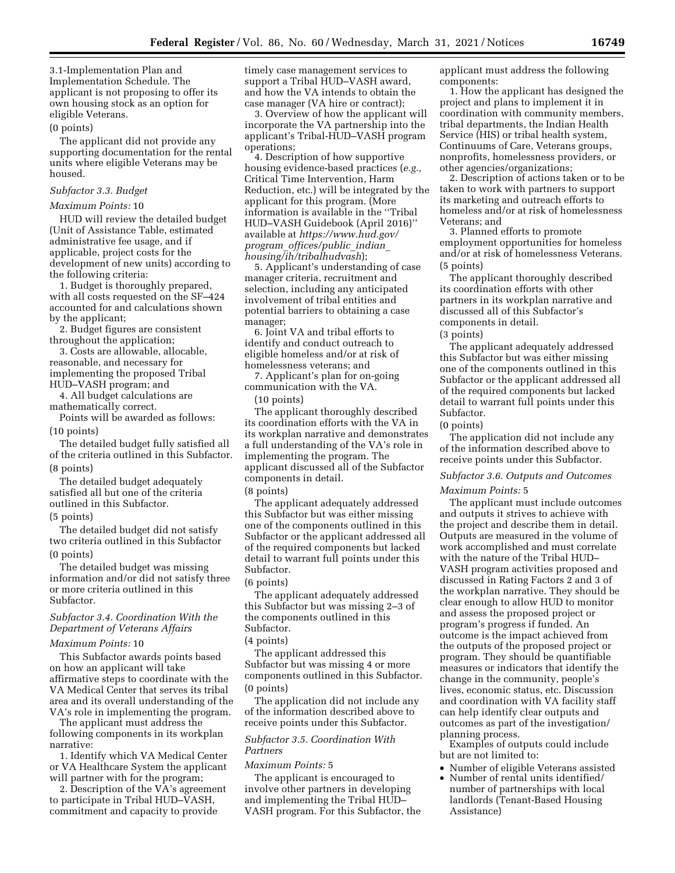3.1-Implementation Plan and Implementation Schedule. The applicant is not proposing to offer its own housing stock as an option for eligible Veterans.

# (0 points)

The applicant did not provide any supporting documentation for the rental units where eligible Veterans may be housed.

#### *Subfactor 3.3. Budget*

## *Maximum Points:* 10

HUD will review the detailed budget (Unit of Assistance Table, estimated administrative fee usage, and if applicable, project costs for the development of new units) according to the following criteria:

1. Budget is thoroughly prepared, with all costs requested on the SF–424 accounted for and calculations shown by the applicant;

2. Budget figures are consistent throughout the application;

3. Costs are allowable, allocable, reasonable, and necessary for implementing the proposed Tribal HUD–VASH program; and

4. All budget calculations are mathematically correct.

Points will be awarded as follows: (10 points)

The detailed budget fully satisfied all of the criteria outlined in this Subfactor. (8 points)

The detailed budget adequately satisfied all but one of the criteria outlined in this Subfactor.

### (5 points)

The detailed budget did not satisfy two criteria outlined in this Subfactor (0 points)

The detailed budget was missing information and/or did not satisfy three or more criteria outlined in this Subfactor.

# *Subfactor 3.4. Coordination With the Department of Veterans Affairs*

#### *Maximum Points:* 10

This Subfactor awards points based on how an applicant will take affirmative steps to coordinate with the VA Medical Center that serves its tribal area and its overall understanding of the VA's role in implementing the program.

The applicant must address the following components in its workplan narrative:

1. Identify which VA Medical Center or VA Healthcare System the applicant will partner with for the program;

2. Description of the VA's agreement to participate in Tribal HUD–VASH, commitment and capacity to provide

timely case management services to support a Tribal HUD–VASH award, and how the VA intends to obtain the case manager (VA hire or contract);

3. Overview of how the applicant will incorporate the VA partnership into the applicant's Tribal-HUD–VASH program operations;

4. Description of how supportive housing evidence-based practices (*e.g.,*  Critical Time Intervention, Harm Reduction, etc.) will be integrated by the applicant for this program. (More information is available in the ''Tribal HUD–VASH Guidebook (April 2016)'' available at *[https://www.hud.gov/](https://www.hud.gov/program_offices/public_indian_housing/ih/tribalhudvash)  program*\_*[offices/public](https://www.hud.gov/program_offices/public_indian_housing/ih/tribalhudvash)*\_*indian*\_ *[housing/ih/tribalhudvash](https://www.hud.gov/program_offices/public_indian_housing/ih/tribalhudvash)*);

5. Applicant's understanding of case manager criteria, recruitment and selection, including any anticipated involvement of tribal entities and potential barriers to obtaining a case manager;

6. Joint VA and tribal efforts to identify and conduct outreach to eligible homeless and/or at risk of homelessness veterans; and

7. Applicant's plan for on-going communication with the VA.

(10 points)

The applicant thoroughly described its coordination efforts with the VA in its workplan narrative and demonstrates a full understanding of the VA's role in implementing the program. The applicant discussed all of the Subfactor components in detail.

(8 points)

The applicant adequately addressed this Subfactor but was either missing one of the components outlined in this Subfactor or the applicant addressed all of the required components but lacked detail to warrant full points under this Subfactor.

#### (6 points)

The applicant adequately addressed this Subfactor but was missing 2–3 of the components outlined in this Subfactor.

## (4 points)

The applicant addressed this Subfactor but was missing 4 or more components outlined in this Subfactor. (0 points)

The application did not include any of the information described above to receive points under this Subfactor.

# *Subfactor 3.5. Coordination With Partners*

*Maximum Points:* 5

The applicant is encouraged to involve other partners in developing and implementing the Tribal HUD– VASH program. For this Subfactor, the applicant must address the following components:

1. How the applicant has designed the project and plans to implement it in coordination with community members, tribal departments, the Indian Health Service (HIS) or tribal health system, Continuums of Care, Veterans groups, nonprofits, homelessness providers, or other agencies/organizations;

2. Description of actions taken or to be taken to work with partners to support its marketing and outreach efforts to homeless and/or at risk of homelessness Veterans; and

3. Planned efforts to promote employment opportunities for homeless and/or at risk of homelessness Veterans. (5 points)

The applicant thoroughly described its coordination efforts with other partners in its workplan narrative and discussed all of this Subfactor's components in detail.

(3 points)

The applicant adequately addressed this Subfactor but was either missing one of the components outlined in this Subfactor or the applicant addressed all of the required components but lacked detail to warrant full points under this Subfactor.

(0 points)

The application did not include any of the information described above to receive points under this Subfactor.

# *Subfactor 3.6. Outputs and Outcomes Maximum Points:* 5

The applicant must include outcomes and outputs it strives to achieve with the project and describe them in detail. Outputs are measured in the volume of work accomplished and must correlate with the nature of the Tribal HUD– VASH program activities proposed and discussed in Rating Factors 2 and 3 of the workplan narrative. They should be clear enough to allow HUD to monitor and assess the proposed project or program's progress if funded. An outcome is the impact achieved from the outputs of the proposed project or program. They should be quantifiable measures or indicators that identify the change in the community, people's lives, economic status, etc. Discussion and coordination with VA facility staff can help identify clear outputs and outcomes as part of the investigation/ planning process.

Examples of outputs could include but are not limited to:

- Number of eligible Veterans assisted
- Number of rental units identified/ number of partnerships with local landlords (Tenant-Based Housing Assistance)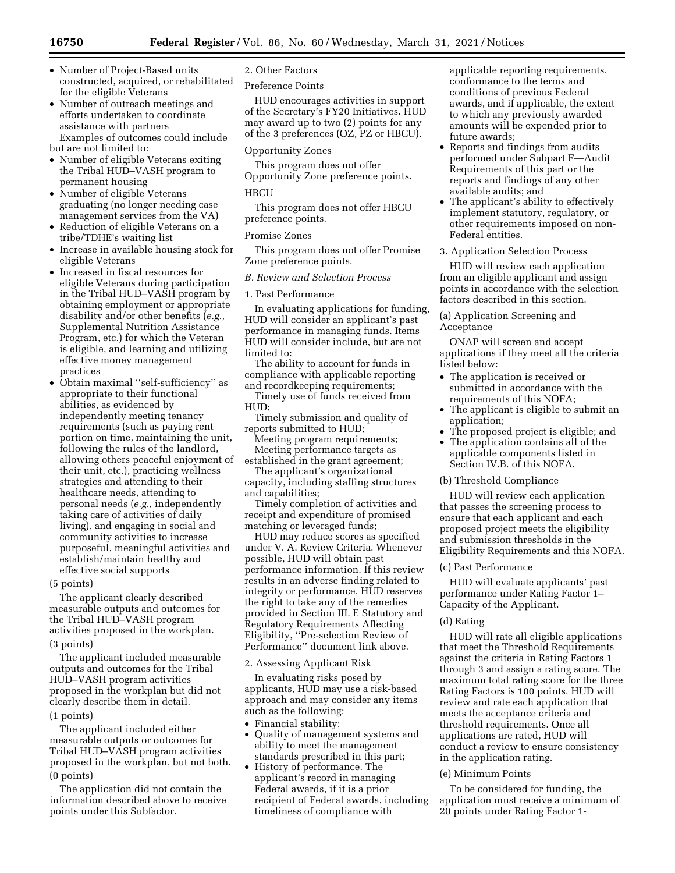- Number of Project-Based units constructed, acquired, or rehabilitated for the eligible Veterans
- Number of outreach meetings and efforts undertaken to coordinate assistance with partners Examples of outcomes could include

but are not limited to:

- Number of eligible Veterans exiting the Tribal HUD–VASH program to permanent housing
- Number of eligible Veterans graduating (no longer needing case management services from the VA)
- Reduction of eligible Veterans on a tribe/TDHE's waiting list
- Increase in available housing stock for eligible Veterans
- Increased in fiscal resources for eligible Veterans during participation in the Tribal HUD–VASH program by obtaining employment or appropriate disability and/or other benefits (*e.g.,*  Supplemental Nutrition Assistance Program, etc.) for which the Veteran is eligible, and learning and utilizing effective money management practices
- Obtain maximal ''self-sufficiency'' as appropriate to their functional abilities, as evidenced by independently meeting tenancy requirements (such as paying rent portion on time, maintaining the unit, following the rules of the landlord, allowing others peaceful enjoyment of their unit, etc.), practicing wellness strategies and attending to their healthcare needs, attending to personal needs (*e.g.,* independently taking care of activities of daily living), and engaging in social and community activities to increase purposeful, meaningful activities and establish/maintain healthy and effective social supports
- (5 points)

The applicant clearly described measurable outputs and outcomes for the Tribal HUD–VASH program activities proposed in the workplan. (3 points)

The applicant included measurable outputs and outcomes for the Tribal HUD–VASH program activities proposed in the workplan but did not clearly describe them in detail. (1 points)

The applicant included either measurable outputs or outcomes for Tribal HUD–VASH program activities proposed in the workplan, but not both. (0 points)

The application did not contain the information described above to receive points under this Subfactor.

2. Other Factors

Preference Points

HUD encourages activities in support of the Secretary's FY20 Initiatives. HUD may award up to two (2) points for any of the 3 preferences (OZ, PZ or HBCU).

Opportunity Zones

This program does not offer Opportunity Zone preference points.

# **HBCU**

This program does not offer HBCU preference points.

#### Promise Zones

This program does not offer Promise Zone preference points.

#### *B. Review and Selection Process*

#### 1. Past Performance

In evaluating applications for funding, HUD will consider an applicant's past performance in managing funds. Items HUD will consider include, but are not limited to:

The ability to account for funds in compliance with applicable reporting and recordkeeping requirements;

- Timely use of funds received from HUD;
- Timely submission and quality of reports submitted to HUD;

Meeting program requirements; Meeting performance targets as

established in the grant agreement; The applicant's organizational

capacity, including staffing structures and capabilities;

Timely completion of activities and receipt and expenditure of promised matching or leveraged funds;

HUD may reduce scores as specified under V. A. Review Criteria. Whenever possible, HUD will obtain past performance information. If this review results in an adverse finding related to integrity or performance, HUD reserves the right to take any of the remedies provided in Section III. E Statutory and Regulatory Requirements Affecting Eligibility, ''Pre-selection Review of Performance'' document link above.

#### 2. Assessing Applicant Risk

In evaluating risks posed by applicants, HUD may use a risk-based approach and may consider any items such as the following:

- Financial stability;
- Quality of management systems and ability to meet the management standards prescribed in this part;
- History of performance. The applicant's record in managing Federal awards, if it is a prior recipient of Federal awards, including timeliness of compliance with

applicable reporting requirements, conformance to the terms and conditions of previous Federal awards, and if applicable, the extent to which any previously awarded amounts will be expended prior to future awards;

- Reports and findings from audits performed under Subpart F—Audit Requirements of this part or the reports and findings of any other available audits; and
- The applicant's ability to effectively implement statutory, regulatory, or other requirements imposed on non-Federal entities.
- 3. Application Selection Process

HUD will review each application from an eligible applicant and assign points in accordance with the selection factors described in this section.

(a) Application Screening and Acceptance

ONAP will screen and accept applications if they meet all the criteria listed below:

- The application is received or submitted in accordance with the requirements of this NOFA;
- The applicant is eligible to submit an application;
- The proposed project is eligible; and • The application contains all of the
- applicable components listed in Section IV.B. of this NOFA.

(b) Threshold Compliance

HUD will review each application that passes the screening process to ensure that each applicant and each proposed project meets the eligibility and submission thresholds in the Eligibility Requirements and this NOFA.

# (c) Past Performance

HUD will evaluate applicants' past performance under Rating Factor 1– Capacity of the Applicant.

#### (d) Rating

HUD will rate all eligible applications that meet the Threshold Requirements against the criteria in Rating Factors 1 through 3 and assign a rating score. The maximum total rating score for the three Rating Factors is 100 points. HUD will review and rate each application that meets the acceptance criteria and threshold requirements. Once all applications are rated, HUD will conduct a review to ensure consistency in the application rating.

#### (e) Minimum Points

To be considered for funding, the application must receive a minimum of 20 points under Rating Factor 1